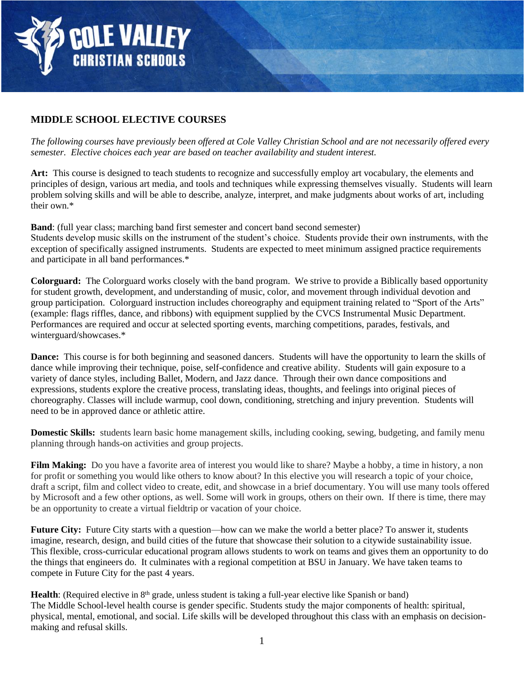

## **MIDDLE SCHOOL ELECTIVE COURSES**

*The following courses have previously been offered at Cole Valley Christian School and are not necessarily offered every semester. Elective choices each year are based on teacher availability and student interest.* 

**Art:** This course is designed to teach students to recognize and successfully employ art vocabulary, the elements and principles of design, various art media, and tools and techniques while expressing themselves visually. Students will learn problem solving skills and will be able to describe, analyze, interpret, and make judgments about works of art, including their own.\*

**Band**: (full year class; marching band first semester and concert band second semester) Students develop music skills on the instrument of the student's choice. Students provide their own instruments, with the exception of specifically assigned instruments. Students are expected to meet minimum assigned practice requirements and participate in all band performances.\*

**Colorguard:** The Colorguard works closely with the band program. We strive to provide a Biblically based opportunity for student growth, development, and understanding of music, color, and movement through individual devotion and group participation. Colorguard instruction includes choreography and equipment training related to "Sport of the Arts" (example: flags riffles, dance, and ribbons) with equipment supplied by the CVCS Instrumental Music Department. Performances are required and occur at selected sporting events, marching competitions, parades, festivals, and winterguard/showcases.\*

**Dance:** This course is for both beginning and seasoned dancers. Students will have the opportunity to learn the skills of dance while improving their technique, poise, self-confidence and creative ability. Students will gain exposure to a variety of dance styles, including Ballet, Modern, and Jazz dance. Through their own dance compositions and expressions, students explore the creative process, translating ideas, thoughts, and feelings into original pieces of choreography. Classes will include warmup, cool down, conditioning, stretching and injury prevention. Students will need to be in approved dance or athletic attire.

**Domestic Skills:** students learn basic home management skills, including cooking, sewing, budgeting, and family menu planning through hands-on activities and group projects.

**Film Making:** Do you have a favorite area of interest you would like to share? Maybe a hobby, a time in history, a non for profit or something you would like others to know about? In this elective you will research a topic of your choice, draft a script, film and collect video to create, edit, and showcase in a brief documentary. You will use many tools offered by Microsoft and a few other options, as well. Some will work in groups, others on their own. If there is time, there may be an opportunity to create a virtual fieldtrip or vacation of your choice.

**Future City:** Future City starts with a question—how can we make the world a better place? To answer it, students imagine, research, design, and build cities of the future that showcase their solution to a citywide sustainability issue. This flexible, cross-curricular educational program allows students to work on teams and gives them an opportunity to do the things that engineers do. It culminates with a regional competition at BSU in January. We have taken teams to compete in Future City for the past 4 years.

**Health**: (Required elective in 8<sup>th</sup> grade, unless student is taking a full-year elective like Spanish or band) The Middle School-level health course is gender specific. Students study the major components of health: spiritual, physical, mental, emotional, and social. Life skills will be developed throughout this class with an emphasis on decisionmaking and refusal skills.